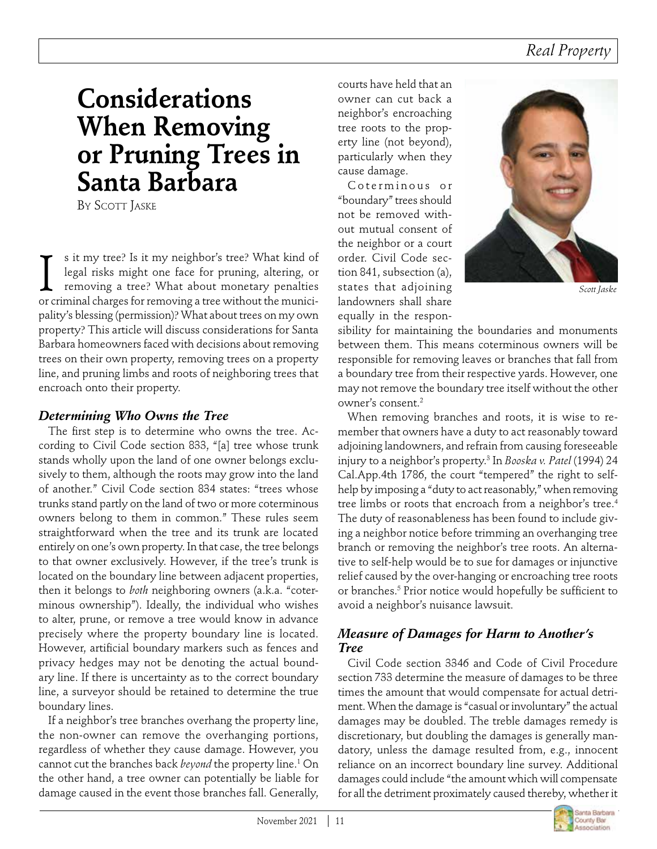# **Considerations When Removing or Pruning Trees in Santa Barbara**

By Scott Jaske

s it my tree? Is it my neighbor's tree? What kind of legal risks might one face for pruning, altering, or removing a tree? What about monetary penalties s it my tree? Is it my neighbor's tree? What kind of legal risks might one face for pruning, altering, or removing a tree? What about monetary penalties or criminal charges for removing a tree without the municipality's blessing (permission)? What about trees on my own property? This article will discuss considerations for Santa Barbara homeowners faced with decisions about removing trees on their own property, removing trees on a property line, and pruning limbs and roots of neighboring trees that encroach onto their property.

### *Determining Who Owns the Tree*

The first step is to determine who owns the tree. According to Civil Code section 833, "[a] tree whose trunk stands wholly upon the land of one owner belongs exclusively to them, although the roots may grow into the land of another." Civil Code section 834 states: "trees whose trunks stand partly on the land of two or more coterminous owners belong to them in common." These rules seem straightforward when the tree and its trunk are located entirely on one's own property. In that case, the tree belongs to that owner exclusively. However, if the tree's trunk is located on the boundary line between adjacent properties, then it belongs to *both* neighboring owners (a.k.a. "coterminous ownership"). Ideally, the individual who wishes to alter, prune, or remove a tree would know in advance precisely where the property boundary line is located. However, artificial boundary markers such as fences and privacy hedges may not be denoting the actual boundary line. If there is uncertainty as to the correct boundary line, a surveyor should be retained to determine the true boundary lines.

If a neighbor's tree branches overhang the property line, the non-owner can remove the overhanging portions, regardless of whether they cause damage. However, you cannot cut the branches back *beyond* the property line.<sup>1</sup> On the other hand, a tree owner can potentially be liable for damage caused in the event those branches fall. Generally,

courts have held that an owner can cut back a neighbor's encroaching tree roots to the property line (not beyond), particularly when they cause damage.

Coterminous or "boundary" trees should not be removed without mutual consent of the neighbor or a court order. Civil Code section 841, subsection (a), states that adjoining landowners shall share equally in the respon-



*Scott Jaske*

sibility for maintaining the boundaries and monuments between them. This means coterminous owners will be responsible for removing leaves or branches that fall from a boundary tree from their respective yards. However, one may not remove the boundary tree itself without the other owner's consent.2

When removing branches and roots, it is wise to remember that owners have a duty to act reasonably toward adjoining landowners, and refrain from causing foreseeable injury to a neighbor's property.3 In *Booska v. Patel* (1994) 24 Cal.App.4th 1786, the court "tempered" the right to selfhelp by imposing a "duty to act reasonably," when removing tree limbs or roots that encroach from a neighbor's tree.<sup>4</sup> The duty of reasonableness has been found to include giving a neighbor notice before trimming an overhanging tree branch or removing the neighbor's tree roots. An alternative to self-help would be to sue for damages or injunctive relief caused by the over-hanging or encroaching tree roots or branches.5 Prior notice would hopefully be sufficient to avoid a neighbor's nuisance lawsuit.

### *Measure of Damages for Harm to Another's Tree*

Civil Code section 3346 and Code of Civil Procedure section 733 determine the measure of damages to be three times the amount that would compensate for actual detriment. When the damage is "casual or involuntary" the actual damages may be doubled. The treble damages remedy is discretionary, but doubling the damages is generally mandatory, unless the damage resulted from, e.g., innocent reliance on an incorrect boundary line survey. Additional damages could include "the amount which will compensate for all the detriment proximately caused thereby, whether it

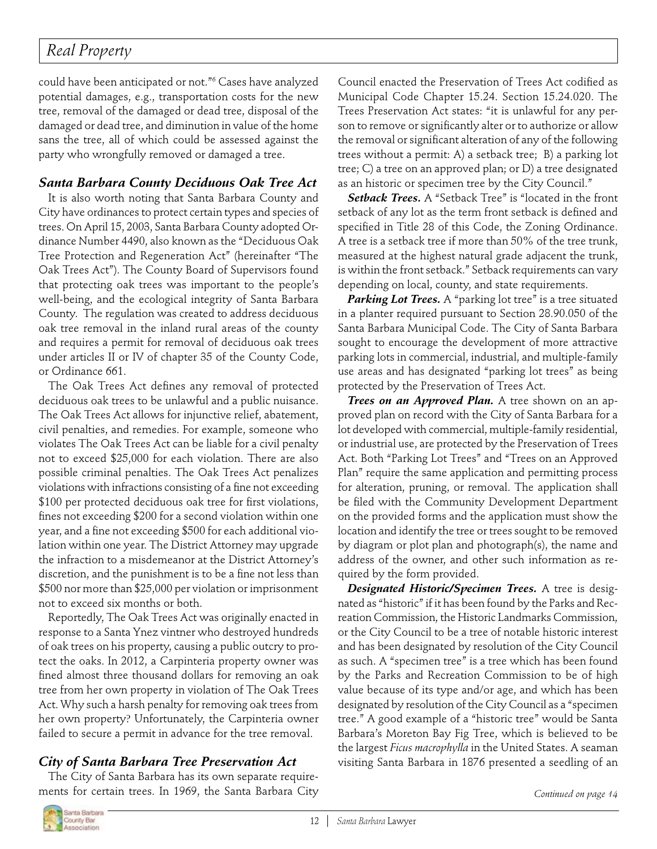# *Real Property*

could have been anticipated or not."6 Cases have analyzed potential damages, e.g., transportation costs for the new tree, removal of the damaged or dead tree, disposal of the damaged or dead tree, and diminution in value of the home sans the tree, all of which could be assessed against the party who wrongfully removed or damaged a tree.

## *Santa Barbara County Deciduous Oak Tree Act*

It is also worth noting that Santa Barbara County and City have ordinances to protect certain types and species of trees. On April 15, 2003, Santa Barbara County adopted Ordinance Number 4490, also known as the "Deciduous Oak Tree Protection and Regeneration Act" (hereinafter "The Oak Trees Act"). The County Board of Supervisors found that protecting oak trees was important to the people's well-being, and the ecological integrity of Santa Barbara County. The regulation was created to address deciduous oak tree removal in the inland rural areas of the county and requires a permit for removal of deciduous oak trees under articles II or IV of chapter 35 of the County Code, or Ordinance 661.

The Oak Trees Act defines any removal of protected deciduous oak trees to be unlawful and a public nuisance. The Oak Trees Act allows for injunctive relief, abatement, civil penalties, and remedies. For example, someone who violates The Oak Trees Act can be liable for a civil penalty not to exceed \$25,000 for each violation. There are also possible criminal penalties. The Oak Trees Act penalizes violations with infractions consisting of a fine not exceeding \$100 per protected deciduous oak tree for first violations, fines not exceeding \$200 for a second violation within one year, and a fine not exceeding \$500 for each additional violation within one year. The District Attorney may upgrade the infraction to a misdemeanor at the District Attorney's discretion, and the punishment is to be a fine not less than \$500 nor more than \$25,000 per violation or imprisonment not to exceed six months or both.

Reportedly, The Oak Trees Act was originally enacted in response to a Santa Ynez vintner who destroyed hundreds of oak trees on his property, causing a public outcry to protect the oaks. In 2012, a Carpinteria property owner was fined almost three thousand dollars for removing an oak tree from her own property in violation of The Oak Trees Act. Why such a harsh penalty for removing oak trees from her own property? Unfortunately, the Carpinteria owner failed to secure a permit in advance for the tree removal.

## *City of Santa Barbara Tree Preservation Act*

The City of Santa Barbara has its own separate requirements for certain trees. In 1969, the Santa Barbara City Council enacted the Preservation of Trees Act codified as Municipal Code Chapter 15.24. Section 15.24.020. The Trees Preservation Act states: "it is unlawful for any person to remove or significantly alter or to authorize or allow the removal or significant alteration of any of the following trees without a permit: A) a setback tree; B) a parking lot tree; C) a tree on an approved plan; or D) a tree designated as an historic or specimen tree by the City Council."

*Setback Trees.* A "Setback Tree" is "located in the front setback of any lot as the term front setback is defined and specified in Title 28 of this Code, the Zoning Ordinance. A tree is a setback tree if more than 50% of the tree trunk, measured at the highest natural grade adjacent the trunk, is within the front setback." Setback requirements can vary depending on local, county, and state requirements.

Parking Lot Trees. A "parking lot tree" is a tree situated in a planter required pursuant to Section 28.90.050 of the Santa Barbara Municipal Code. The City of Santa Barbara sought to encourage the development of more attractive parking lots in commercial, industrial, and multiple-family use areas and has designated "parking lot trees" as being protected by the Preservation of Trees Act.

*Trees on an Approved Plan.* A tree shown on an approved plan on record with the City of Santa Barbara for a lot developed with commercial, multiple-family residential, or industrial use, are protected by the Preservation of Trees Act. Both "Parking Lot Trees" and "Trees on an Approved Plan" require the same application and permitting process for alteration, pruning, or removal. The application shall be filed with the Community Development Department on the provided forms and the application must show the location and identify the tree or trees sought to be removed by diagram or plot plan and photograph(s), the name and address of the owner, and other such information as required by the form provided.

*Designated Historic/Specimen Trees.* A tree is designated as "historic" if it has been found by the Parks and Recreation Commission, the Historic Landmarks Commission, or the City Council to be a tree of notable historic interest and has been designated by resolution of the City Council as such. A "specimen tree" is a tree which has been found by the Parks and Recreation Commission to be of high value because of its type and/or age, and which has been designated by resolution of the City Council as a "specimen tree." A good example of a "historic tree" would be Santa Barbara's Moreton Bay Fig Tree, which is believed to be the largest *Ficus macrophylla* in the United States. A seaman visiting Santa Barbara in 1876 presented a seedling of an